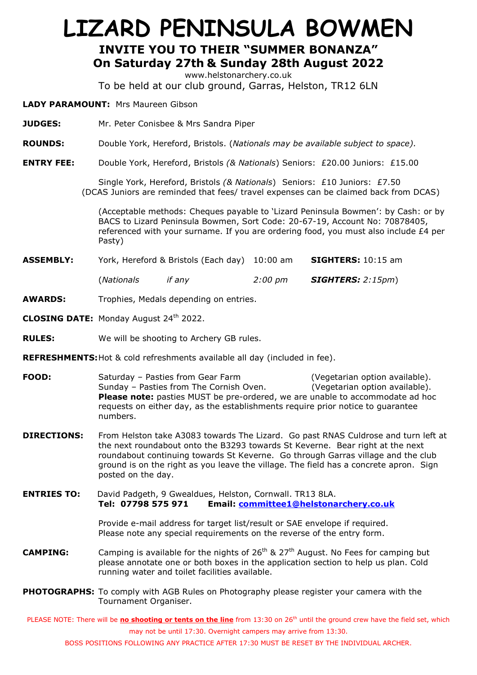## **LIZARD PENINSULA BOWMEN INVITE YOU TO THEIR "SUMMER BONANZA" On Saturday 27th & Sunday 28th August 2022**

www.helstonarchery.co.uk

To be held at our club ground, Garras, Helston, TR12 6LN

**LADY PARAMOUNT:** Mrs Maureen Gibson

- **JUDGES:** Mr. Peter Conisbee & Mrs Sandra Piper
- **ROUNDS:** Double York, Hereford, Bristols. (*Nationals may be available subject to space).*
- **ENTRY FEE:** Double York, Hereford, Bristols *(& Nationals*) Seniors: £20.00 Juniors: £15.00

Single York, Hereford, Bristols *(& Nationals*) Seniors: £10 Juniors: £7.50 (DCAS Juniors are reminded that fees/ travel expenses can be claimed back from DCAS)

(Acceptable methods: Cheques payable to 'Lizard Peninsula Bowmen': by Cash: or by BACS to Lizard Peninsula Bowmen, Sort Code: 20-67-19, Account No: 70878405, referenced with your surname. If you are ordering food, you must also include £4 per Pasty)

| <b>ASSEMBLY:</b> |             | York, Hereford & Bristols (Each day) 10:00 am |         | <b>SIGHTERS:</b> 10:15 am            |  |  |
|------------------|-------------|-----------------------------------------------|---------|--------------------------------------|--|--|
|                  | (Nationals) | if anv                                        | 2:00 pm | $\textcolor{red}{SIGHTERS:}$ 2:15pm) |  |  |

**AWARDS:** Trophies, Medals depending on entries.

**CLOSING DATE:** Monday August 24<sup>th</sup> 2022.

- **RULES:** We will be shooting to Archery GB rules.
- **REFRESHMENTS:**Hot & cold refreshments available all day (included in fee).
- **FOOD:** Saturday Pasties from Gear Farm (Vegetarian option available). Sunday – Pasties from The Cornish Oven. (Vegetarian option available). **Please note:** pasties MUST be pre-ordered, we are unable to accommodate ad hoc requests on either day, as the establishments require prior notice to guarantee numbers.
- **DIRECTIONS:** From Helston take A3083 towards The Lizard. Go past RNAS Culdrose and turn left at the next roundabout onto the B3293 towards St Keverne. Bear right at the next roundabout continuing towards St Keverne. Go through Garras village and the club ground is on the right as you leave the village. The field has a concrete apron. Sign posted on the day.
- **ENTRIES TO:** David Padgeth, 9 Gwealdues, Helston, Cornwall. TR13 8LA. **Tel: 07798 575 971 Email: [committee1@helstonarchery.co.uk](mailto:committee1@helstonarchery.co.uk)**

Provide e-mail address for target list/result or SAE envelope if required. Please note any special requirements on the reverse of the entry form.

- **CAMPING:** Camping is available for the nights of 26<sup>th</sup> & 27<sup>th</sup> August. No Fees for camping but please annotate one or both boxes in the application section to help us plan. Cold running water and toilet facilities available.
- **PHOTOGRAPHS:** To comply with AGB Rules on Photography please register your camera with the Tournament Organiser.

PLEASE NOTE: There will be *no shooting or tents on the line* from 13:30 on 26<sup>th</sup> until the ground crew have the field set, which may not be until 17:30. Overnight campers may arrive from 13:30.

BOSS POSITIONS FOLLOWING ANY PRACTICE AFTER 17:30 MUST BE RESET BY THE INDIVIDUAL ARCHER.